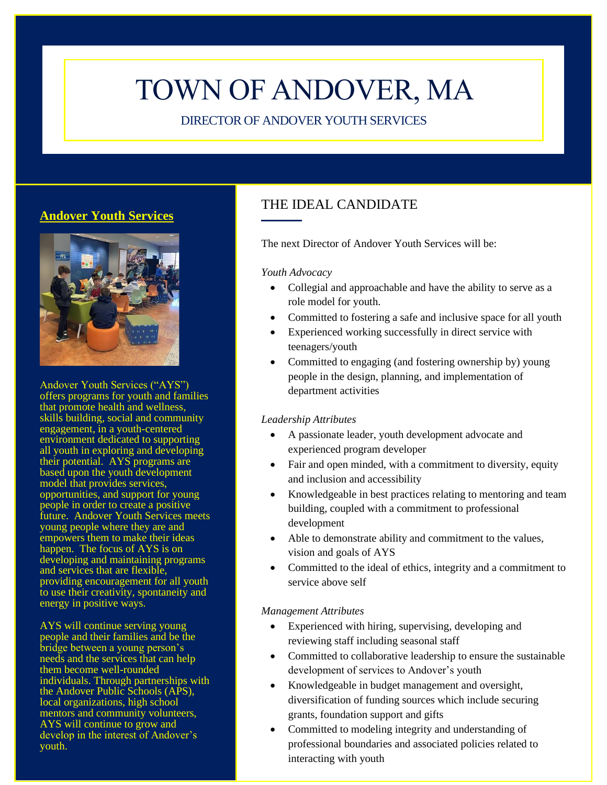# TOWN OF ANDOVER, MA

DIRECTOR OF ANDOVER YOUTH SERVICES

# **Andover Youth Services**



Andover Youth Services ("AYS") offers programs for youth and families that promote health and wellness, skills building, social and community engagement, in a youth-centered environment dedicated to supporting all youth in exploring and developing their potential. AYS programs are based upon the youth development model that provides services, opportunities, and support for young people in order to create a positive future. Andover Youth Services meets young people where they are and empowers them to make their ideas happen. The focus of AYS is on developing and maintaining programs and services that are flexible, providing encouragement for all youth to use their creativity, spontaneity and energy in positive ways.

AYS will continue serving young people and their families and be the bridge between a young person's needs and the services that can help them become well-rounded individuals. Through partnerships with the Andover Public Schools (APS), local organizations, high school mentors and community volunteers, AYS will continue to grow and develop in the interest of Andover's youth.

# THE IDEAL CANDIDATE

The next Director of Andover Youth Services will be:

## *Youth Advocacy*

- Collegial and approachable and have the ability to serve as a role model for youth.
- Committed to fostering a safe and inclusive space for all youth
- Experienced working successfully in direct service with teenagers/youth
- Committed to engaging (and fostering ownership by) young people in the design, planning, and implementation of department activities

## *Leadership Attributes*

- A passionate leader, youth development advocate and experienced program developer
- Fair and open minded, with a commitment to diversity, equity and inclusion and accessibility
- Knowledgeable in best practices relating to mentoring and team building, coupled with a commitment to professional development
- Able to demonstrate ability and commitment to the values, vision and goals of AYS
- Committed to the ideal of ethics, integrity and a commitment to service above self

### *Management Attributes*

- Experienced with hiring, supervising, developing and reviewing staff including seasonal staff
- Committed to collaborative leadership to ensure the sustainable development of services to Andover's youth
- Knowledgeable in budget management and oversight, diversification of funding sources which include securing grants, foundation support and gifts
- Committed to modeling integrity and understanding of professional boundaries and associated policies related to interacting with youth